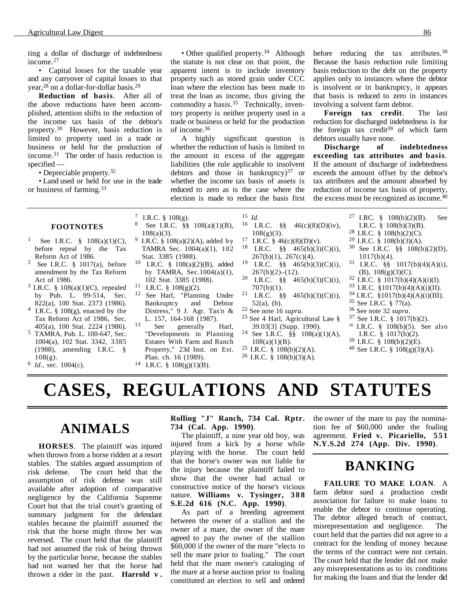ting a dollar of discharge of indebtedness income.27

• Capital losses for the taxable year and any carryover of capital losses to that year,28 on a dollar-for-dollar basis.29

**Reduction of basis**. After all of the above reductions have been accomplished, attention shifts to the reduction of the income tax basis of the debtor's property.30 However, basis reduction is limited to property used in a trade or business or held for the production of income.31 The order of basis reduction is specified —

• Depreciable property.32

• Land used or held for use in the trade or business of farming.33

• Other qualified property.<sup>34</sup> Although the statute is not clear on that point, the apparent intent is to include inventory property such as stored grain under CCC loan where the election has been made to treat the loan as income, thus giving the commodity a basis.<sup>35</sup> Technically, inventory property is neither property used in a trade or business or held for the production of income.36

A highly significant question is whether the reduction of basis is limited to the amount in excess of the aggregate liabilities (the rule applicable to insolvent debtors and those in bankruptcy $)^{37}$  or whether the income tax basis of assets is reduced to zero as is the case where the election is made to reduce the basis first

before reducing the tax attributes.<sup>38</sup> Because the basis reduction rule limiting basis reduction to the debt on the property applies only to instances where the debtor is insolvent or in bankruptcy, it appears that basis is reduced to zero in instances involving a solvent farm debtor.

**Foreign tax credit**. The last reduction for discharged indebtedness is for the foreign tax credit<sup>39</sup> of which farm debtors usually have none.

**Discharge of indebtedness exceeding tax attributes and basis**. If the amount of discharge of indebtedness exceeds the amount offset by the debtor's tax attributes and the amount absorbed by reduction of income tax basis of property, the excess must be recognized as income.<sup>40</sup>

#### **FOOTNOTES**

- <sup>1</sup> See I.R.C. §  $108(a)(1)(C)$ , before repeal by the Tax Reform Act of 1986.
- See I.R.C.  $\S$  1017(a), before amendment by the Tax Reform Act of 1986.
- 3 I.R.C. § 108(a)(1)(C), repealed by Pub. L. 99-514, Sec. 822(a), 100 Stat. 2373 (1986).
- 4 I.R.C. § 108(g), enacted by the Tax Reform Act of 1986, Sec. 405(a), 100 Stat. 2224 (1986).
- 5 TAMRA, Pub. L. 100-647, Sec. 1004(a), 102 Stat. 3342, 3385 (1988), amending I.R.C. §  $108(g)$ .
- 6 *Id*., sec. 1004(c).
- 7 I.R.C. § 108(g). See I.R.C. §§ 108(a)(1)(B), 108(a)(3).
- <sup>9</sup> I.R.C. § 108(a)(2)(A), added by TAMRA Sec. 1004(a)(1), 102 Stat. 3385 (1988).
- 10 I.R.C. § 108(a)(2)(B), added by TAMRA, Sec.  $1004(a)(1)$ , 102 Stat. 3385 (1988).
- $^{11}$  I.R.C. § 108(g)(2).<br> $^{12}$  See Harl "Planni
- See Harl, "Planning Under<br>Bankruptcy and Debtor Bankruptcy and Debtor Distress," 9 J. Agr. Tax'n & L. 157, 164-168 (1987).
- $13$  See generally Harl, "Developments in Planning Estates With Farm and Ranch Property," 23d Inst. on Est. Plan. ch. 16 (1989).
- <sup>14</sup> I.R.C. §  $108(g)(1)(B)$ .
- 15 *Id.*<br><sup>16</sup> I.R.C. §§ 46(c)(8)(D)(iv),
- $108(g)(3)$ . <sup>17</sup> I.R.C. § 46(c)(8)(D)(v).<br><sup>18</sup> I.R.C. <sup>88</sup> 465(b)(3)
- I.R.C.  $\S\S$  465(b)(3)(C)(i), 267(b)(1), 267(c)(4).
- 19 I.R.C.  $§$ § 465(b)(3)(C)(i),  $267(b)(2)–(12)$ .
- 20 I.R.C.  $\frac{88}{9}$  465(b)(3)(C)(i),  $707(b)(1)$ .
- 21 I.R.C. §§ 465(b)(3)(C)(i),  $52(a)$ , (b).<br><sup>22</sup> See note 16 *supra*.
- 
- <sup>23</sup> See 4 Harl, Agricultural Law § 39.03[3] (Supp. 1990).
- <sup>24</sup> See I.R.C.  $\hat{\S}\hat{\S}$  108(a)(1)(A),  $108(a)(1)(B)$ .
- $25$  I.R.C. § 108(b)(2)(A).
- $26$  I.R.C. § 108(b)(3)(A).
- 27 I.RC. § 108(b)(2)(B). See
- I.R.C. § 108(b)(3)(B).
- <sup>28</sup> I.R.C. § 108(b)(2)(C).
- <sup>29</sup> I.R.C. § 108(b)(3)(A).
- <sup>30</sup> See I.R.C. §§ 108(b)(2)(D),  $1017(b)(4)$ .
- 31 I.R.C. §§ 1017(b)(4)(A)(i), (B), 108(g)(3)(C).
- 32 I.R.C. § 1017(b)(4)(A)(i)(I).
- $33$  I.R.C. §1017(b)(4)(A)(i)(II).
- $34$  I.R.C. §1017(b)(4)(A)(i)(III).
- $35$  See I.R.C. § 77(a).<br> $36$  See note 32 *supra*.
- 
- <sup>37</sup> See I.R.C. § 1017(b)(2).
- 38 I.R.C. § 108(b)(5). See also I.R.C. § 1017(b)(2).
- 39 I.R.C. § 108(b)(2)(E).
- 40 See I.R.C. § 108(g)(3)(A).
- **CASES, REGULATIONS AND STATUTES**

# **ANIMALS**

**HORSES**. The plaintiff was injured when thrown from a horse ridden at a resort stables. The stables argued assumption of risk defense. The court held that the assumption of risk defense was still available after adoption of comparative negligence by the California Supreme Court but that the trial court's granting of summary judgment for the defendant stables because the plaintiff assumed the risk that the horse might throw her was reversed. The court held that the plaintiff had not assumed the risk of being thrown by the particular horse, because the stables had not warned her that the horse had thrown a rider in the past. **Harrold v .**

### **Rolling "J" Ranch, 734 Cal. Rptr. 734 (Cal. App. 1990)**.

The plaintiff, a nine year old boy, was injured from a kick by a horse while playing with the horse. The court held that the horse's owner was not liable for the injury because the plaintiff failed to show that the owner had actual or constructive notice of the horse's vicious nature. **Williams v. Tysinger, 3 8 8 S.E.2d 616 (N.C. App. 1990)**.

As part of a breeding agreement between the owner of a stallion and the owner of a mare, the owner of the mare agreed to pay the owner of the stallion \$60,000 if the owner of the mare "elects to sell the mare prior to foaling." The court held that the mare owner's cataloging of the mare at a horse auction prior to foaling constituted an election to sell and ordered the owner of the mare to pay the nomination fee of \$60,000 under the foaling agreement. **Fried v. Picariello, 551 N.Y.S.2d 274 (App. Div. 1990)**.

### **BANKING**

**FAILURE TO MAKE LOAN**. A farm debtor sued a production credit association for failure to make loans to enable the debtor to continue operating. The debtor alleged breach of contract, misrepresentation and negligence. The court held that the parties did not agree to a contract for the lending of money because the terms of the contract were not certain. The court held that the lender did not make any misrepresentations as to its conditions for making the loans and that the lender did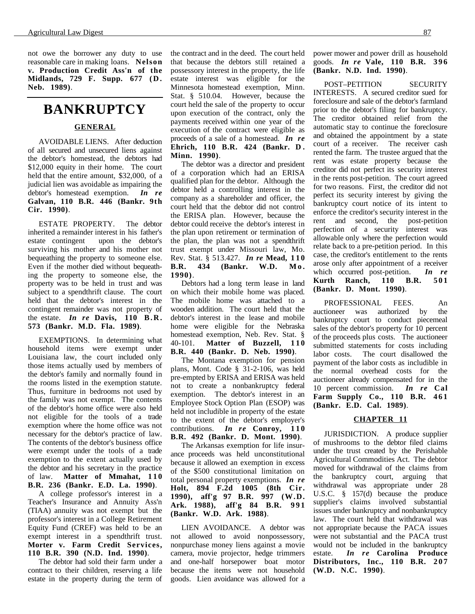not owe the borrower any duty to use reasonable care in making loans. **Nelson v. Production Credit Ass'n of the Midlands, 729 F. Supp. 677 (D. Neb. 1989)**.

### **BANKRUPTCY**

### **GENERAL**

AVOIDABLE LIENS. After deduction of all secured and unsecured liens against the debtor's homestead, the debtors had \$12,000 equity in their home. The court held that the entire amount, \$32,000, of a judicial lien was avoidable as impairing the debtor's homestead exemption. *In re* **Galvan, 110 B.R. 446 (Bankr. 9th Cir. 1990)**.

ESTATE PROPERTY. The debtor inherited a remainder interest in his father's estate contingent upon the debtor's surviving his mother and his mother not bequeathing the property to someone else. Even if the mother died without bequeathing the property to someone else, the property was to be held in trust and was subject to a spendthrift clause. The court held that the debtor's interest in the contingent remainder was not property of the estate. *In re* **Davis, 110 B.R. 573 (Bankr. M.D. Fla. 1989)**.

EXEMPTIONS. In determining what household items were exempt under Louisiana law, the court included only those items actually used by members of the debtor's family and normally found in the rooms listed in the exemption statute. Thus, furniture in bedrooms not used by the family was not exempt. The contents of the debtor's home office were also held not eligible for the tools of a trade exemption where the home office was not necessary for the debtor's practice of law. The contents of the debtor's business office were exempt under the tools of a trade exemption to the extent actually used by the debtor and his secretary in the practice of law. **Matter of Mmahat, 110 B.R. 236 (Bankr. E.D. La. 1990)**.

A college professor's interest in a Teacher's Insurance and Annuity Ass'n (TIAA) annuity was not exempt but the professor's interest in a College Retirement Equity Fund (CREF) was held to be an exempt interest in a spendthrift trust. **Morter v. Farm Credit Services, 110 B.R. 390 (N.D. Ind. 1990)**.

The debtor had sold their farm under a contract to their children, reserving a life estate in the property during the term of the contract and in the deed. The court held that because the debtors still retained a possessory interest in the property, the life estate interest was eligible for the Minnesota homestead exemption, Minn. Stat. § 510.04. However, because the court held the sale of the property to occur upon execution of the contract, only the payments received within one year of the execution of the contract were eligible as proceeds of a sale of a homestead. *In re* **Ehrich, 110 B.R. 424 (Bankr. D . Minn. 1990)**.

The debtor was a director and president of a corporation which had an ERISA qualified plan for the debtor. Although the debtor held a controlling interest in the company as a shareholder and officer, the court held that the debtor did not control the ERISA plan. However, because the debtor could receive the debtor's interest in the plan upon retirement or termination of the plan, the plan was not a spendthrift trust exempt under Missouri law, Mo. Rev. Stat. § 513.427. *In re* **Mead, 1 1 0 B.R. 434 (Bankr. W.D. Mo. 1990)**.

Debtors had a long term lease in land on which their mobile home was placed. The mobile home was attached to a wooden addition. The court held that the debtor's interest in the lease and mobile home were eligible for the Nebraska homestead exemption, Neb. Rev. Stat. § 40-101. **Matter of Buzzell, 110 B.R. 440 (Bankr. D. Neb. 1990)**.

The Montana exemption for pension plans, Mont. Code § 31-2-106, was held pre-empted by ERISA and ERISA was held not to create a nonbankruptcy federal exemption. The debtor's interest in an Employee Stock Option Plan (ESOP) was held not includible in property of the estate to the extent of the debtor's employer's contributions. *In re* **Conroy, 110 B.R. 492 (Bankr. D. Mont. 1990)**.

The Arkansas exemption for life insurance proceeds was held unconstitutional because it allowed an exemption in excess of the \$500 constitutional limitation on total personal property exemptions. *In re* **Holt, 894 F.2d 1005 (8th Cir. 1990), aff'g 97 B.R. 997 (W.D. Ark. 1988), aff'g 84 B.R. 991 (Bankr. W.D. Ark. 1988)**.

LIEN AVOIDANCE. A debtor was not allowed to avoid nonpossessory, nonpurchase money liens against a movie camera, movie projector, hedge trimmers and one-half horsepower boat motor because the items were not household goods. Lien avoidance was allowed for a power mower and power drill as household goods. *In re* **Vale, 110 B.R. 396 (Bankr. N.D. Ind. 1990)**.

POST–PETITION SECURITY INTERESTS. A secured creditor sued for foreclosure and sale of the debtor's farmland prior to the debtor's filing for bankruptcy. The creditor obtained relief from the automatic stay to continue the foreclosure and obtained the appointment by a state court of a receiver. The receiver cash rented the farm. The trustee argued that the rent was estate property because the creditor did not perfect its security interest in the rents post-petition. The court agreed for two reasons. First, the creditor did not perfect its security interest by giving the bankruptcy court notice of its intent to enforce the creditor's security interest in the rent and second, the post-petition perfection of a security interest was allowable only where the perfection would relate back to a pre-petition period. In this case, the creditor's entitlement to the rents arose only after appointment of a receiver which occurred post-petition. *In re* **Kurth Ranch, 110 B.R. 501 (Bankr. D. Mont. 1990)**.

PROFESSIONAL FEES. An auctioneer was authorized by the bankruptcy court to conduct piecemeal sales of the debtor's property for 10 percent of the proceeds plus costs. The auctioneer submitted statements for costs including labor costs. The court disallowed the payment of the labor costs as includible in the normal overhead costs for the auctioneer already compensated for in the 10 percent commission. *In re* **Cal Farm Supply Co., 110 B.R. 461 (Bankr. E.D. Cal. 1989)**.

#### **CHAPTER 11**

JURISDICTION. A produce supplier of mushrooms to the debtor filed claims under the trust created by the Perishable Agricultural Commodities Act. The debtor moved for withdrawal of the claims from the bankruptcy court, arguing that withdrawal was appropriate under 28 U.S.C. § 157(d) because the produce supplier's claims involved substantial issues under bankruptcy and nonbankruptcy law. The court held that withdrawal was not appropriate because the PACA issues were not substantial and the PACA trust would not be included in the bankruptcy estate. *In re* **Carolina Produce Distributors, Inc., 110 B.R. 207 (W.D. N.C. 1990)**.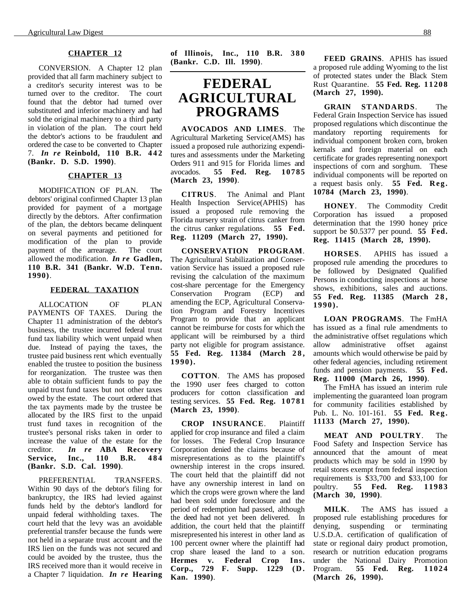#### **CHAPTER 12**

CONVERSION. A Chapter 12 plan provided that all farm machinery subject to a creditor's security interest was to be turned over to the creditor. The court found that the debtor had turned over substituted and inferior machinery and had sold the original machinery to a third party in violation of the plan. The court held the debtor's actions to be fraudulent and ordered the case to be converted to Chapter 7. *In re* **Reinbold, 110 B.R. 442 (Bankr. D. S.D. 1990)**.

### **CHAPTER 13**

MODIFICATION OF PLAN. The debtors' original confirmed Chapter 13 plan provided for payment of a mortgage directly by the debtors. After confirmation of the plan, the debtors became delinquent on several payments and petitioned for modification of the plan to provide payment of the arrearage. The court allowed the modification. *In re* **Gadlen, 110 B.R. 341 (Bankr. W.D. Tenn. 1990)**.

### **FEDERAL TAXATION**

ALLOCATION OF PLAN PAYMENTS OF TAXES. During the Chapter 11 administration of the debtor's business, the trustee incurred federal trust fund tax liability which went unpaid when due. Instead of paying the taxes, the trustee paid business rent which eventually enabled the trustee to position the business for reorganization. The trustee was then able to obtain sufficient funds to pay the unpaid trust fund taxes but not other taxes owed by the estate. The court ordered that the tax payments made by the trustee be allocated by the IRS first to the unpaid trust fund taxes in recognition of the trustee's personal risks taken in order to increase the value of the estate for the creditor. *In re* **ABA Recovery Service, Inc., 110 B.R. 484 (Bankr. S.D. Cal. 1990)**.

PREFERENTIAL TRANSFERS. Within 90 days of the debtor's filing for bankruptcy, the IRS had levied against funds held by the debtor's landlord for unpaid federal withholding taxes. The court held that the levy was an avoidable preferential transfer because the funds were not held in a separate trust account and the IRS lien on the funds was not secured and could be avoided by the trustee, thus the IRS received more than it would receive in a Chapter 7 liquidation. *In re* **Hearing** **of Illinois, Inc., 110 B.R. 3 8 0 (Bankr. C.D. Ill. 1990)**.

### **FEDERAL AGRICULTURAL PROGRAMS**

**AVOCADOS AND LIMES**. The Agricultural Marketing Service(AMS) has issued a proposed rule authorizing expenditures and assessments under the Marketing Orders 911 and 915 for Florida limes and avocados. **55 Fed. Reg. 10785 (March 23, 1990)**.

**CITRUS**. The Animal and Plant Health Inspection Service(APHIS) has issued a proposed rule removing the Florida nursery strain of citrus canker from the citrus canker regulations. **55 Fed. Reg. 11209 (March 27, 1990).**

**CONSERVATION PROGRAM**. The Agricultural Stabilization and Conservation Service has issued a proposed rule revising the calculation of the maximum cost-share percentage for the Emergency Conservation Program (ECP) and amending the ECP, Agricultural Conservation Program and Forestry Incentives Program to provide that an applicant cannot be reimburse for costs for which the applicant will be reimbursed by a third party not eligible for program assistance. **55 Fed. Reg. 11384 (March 2 8 , 1990).**

**COTTON**. The AMS has proposed the 1990 user fees charged to cotton producers for cotton classification and testing services. **55 Fed. Reg. 10781 (March 23, 1990)**.

**CROP INSURANCE**. Plaintiff applied for crop insurance and filed a claim for losses. The Federal Crop Insurance Corporation denied the claims because of misrepresentations as to the plaintiff's ownership interest in the crops insured. The court held that the plaintiff did not have any ownership interest in land on which the crops were grown where the land had been sold under foreclosure and the period of redemption had passed, although the deed had not yet been delivered. In addition, the court held that the plaintiff misrepresented his interest in other land as 100 percent owner where the plaintiff had crop share leased the land to a son. **Hermes v. Federal Crop Ins.** Corp., 729 F. Supp. 1229 (D. **Kan. 1990)**.

**FEED GRAINS**. APHIS has issued a proposed rule adding Wyoming to the list of protected states under the Black Stem Rust Quarantine. **55 Fed. Reg. 11208 (March 27, 1990).**

**GRAIN STANDARDS**. The Federal Grain Inspection Service has issued proposed regulations which discontinue the mandatory reporting requirements for individual component broken corn, broken kernals and foreign material on each certificate for grades representing nonexport inspections of corn and sorghum. These individual components will be reported on a request basis only. **55 Fed. Reg. 10784 (March 23, 1990)**.

**HONEY**. The Commodity Credit Corporation has issued a proposed determination that the 1990 honey price support be \$0.5377 per pound. **55 Fed. Reg. 11415 (March 28, 1990).**

**HORSES**. APHIS has issued a proposed rule amending the procedures to be followed by Designated Qualified Persons in conducting inspections at horse shows, exhibitions, sales and auctions. **55 Fed. Reg. 11385 (March 2 8 , 1990).**

**LOAN PROGRAMS**. The FmHA has issued as a final rule amendments to the administrative offset regulations which<br>allow administrative offset against offset against amounts which would otherwise be paid by other federal agencies, including retirement funds and pension payments. **55 Fed. Reg. 11000 (March 26, 1990)**.

The FmHA has issued an interim rule implementing the guaranteed loan program for community facilities established by Pub. L. No. 101-161. **55 Fed. Reg. 11133 (March 27, 1990).**

**MEAT AND POULTRY**. The Food Safety and Inspection Service has announced that the amount of meat products which may be sold in 1990 by retail stores exempt from federal inspection requirements is \$33,700 and \$33,100 for poultry. **55 Fed. Reg. 11983 (March 30, 1990)**.

**MILK**. The AMS has issued a proposed rule establishing procedures for denying, suspending or terminating U.S.D.A. certification of qualification of state or regional dairy product promotion, research or nutrition education programs under the National Dairy Promotion Program. **55 Fed. Reg. 11024 (March 26, 1990).**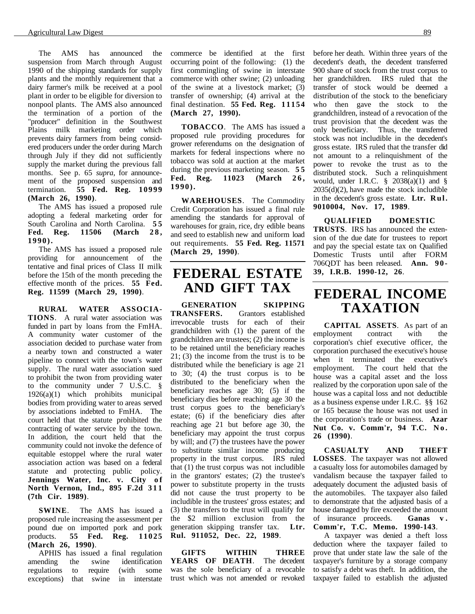The AMS has announced the suspension from March through August 1990 of the shipping standards for supply plants and the monthly requirement that a dairy farmer's milk be received at a pool plant in order to be eligible for diversion to nonpool plants. The AMS also announced the termination of a portion of the "producer" definition in the Southwest Plains milk marketing order which prevents dairy farmers from being considered producers under the order during March through July if they did not sufficiently supply the market during the previous fall months. See p. 65 *supra*, for announcement of the proposed suspension and termination. **55 Fed. Reg. 10999 (March 26, 1990)**.

The AMS has issued a proposed rule adopting a federal marketing order for South Carolina and North Carolina. **55**<br>**Fed.** Reg. **11506** (March 28, **Fed. Reg.** 11506 **1990).**

The AMS has issued a proposed rule providing for announcement of the tentative and final prices of Class II milk before the 15th of the month preceding the effective month of the prices. **55 Fed. Reg. 11599 (March 29, 1990)**.

**RURAL WATER ASSOCIA-TIONS**. A rural water association was funded in part by loans from the FmHA. A community water customer of the association decided to purchase water from a nearby town and constructed a water pipeline to connect with the town's water supply. The rural water association sued to prohibit the twon from providing water to the community under 7 U.S.C. § 1926(a)(1) which prohibits municipal bodies from providing water to areas served by associations indebted to FmHA. The court held that the statute prohibited the contracting of water service by the town. In addition, the court held that the community could not invoke the defence of equitable estoppel where the rural water association action was based on a federal statute and protecting public policy. Jennings Water, Inc. v. City of **North Vernon, Ind., 895 F.2d 311 (7th Cir. 1989)**.

**SWINE**. The AMS has issued a proposed rule increasing the assessment per pound due on imported pork and pork products. **55 Fed. Reg. 11025 (March 26, 1990)**.

APHIS has issued a final regulation amending the swine identification regulations to require (with some exceptions) that swine in interstate commerce be identified at the first occurring point of the following: (1) the first commingling of swine in interstate commerce with other swine; (2) unloading of the swine at a livestock market; (3) transfer of ownership; (4) arrival at the final destination. **55 Fed. Reg. 11154 (March 27, 1990).**

**TOBACCO**. The AMS has issued a proposed rule providing procedures for grower referendums on the designation of markets for federal inspections where no tobacco was sold at auction at the market during the previous marketing season. **5 5** Fed. Reg. 11023 (March 26, **1990).**

**WAREHOUSES**. The Commodity Credit Corporation has issued a final rule amending the standards for approval of warehouses for grain, rice, dry edible beans and seed to establish new and uniform load out requirements. **55 Fed. Reg. 11571 (March 29, 1990)**.

### **FEDERAL ESTATE AND GIFT TAX**

**GENERATION SKIPPING TRANSFERS.** Grantors established irrevocable trusts for each of their grandchildren with (1) the parent of the grandchildren are trustees; (2) the income is to be retained until the beneficiary reaches 21; (3) the income from the trust is to be distributed while the beneficiary is age 21 to 30; (4) the trust corpus is to be distributed to the beneficiary when the beneficiary reaches age 30; (5) if the beneficiary dies before reaching age 30 the trust corpus goes to the beneficiary's estate; (6) if the beneficiary dies after reaching age 21 but before age 30, the beneficiary may appoint the trust corpus by will; and (7) the trustees have the power to substitute similar income producing property in the trust corpus. IRS ruled that (1) the trust corpus was not includible in the grantors' estates; (2) the trustee's power to substitute property in the trusts did not cause the trust property to be includible in the trustees' gross estates; and (3) the transfers to the trust will qualify for the \$2 million exclusion from the generation skipping transfer tax. **Ltr. Rul. 911052, Dec. 22, 1989**.

**GIFTS WITHIN THREE YEARS OF DEATH**. The decedent was the sole beneficiary of a revocable trust which was not amended or revoked

before her death. Within three years of the decedent's death, the decedent transferred 900 share of stock from the trust corpus to her grandchildren. IRS ruled that the transfer of stock would be deemed a distribution of the stock to the beneficiary who then gave the stock to the grandchildren, instead of a revocation of the trust provision that the decedent was the only beneficiary. Thus, the transferred stock was not includible in the decedent's gross estate. IRS ruled that the transfer did not amount to a relinquishment of the power to revoke the trust as to the distributed stock. Such a relinquishment would, under I.R.C.  $\S$  2038(a)(1) and  $\S$  $2035(d)(2)$ , have made the stock includible in the decedent's gross estate. **Ltr. Rul. 9010004, Nov. 17, 1989**.

**QUALIFIED DOMESTIC TRUSTS**. IRS has announced the extension of the due date for trustees to report and pay the special estate tax on Qualified Domestic Trusts until after FORM 706QDT has been released. **Ann. 90- 39, I.R.B. 1990-12, 26**.

## **FEDERAL INCOME TAXATION**

**CAPITAL ASSETS**. As part of an employment contract with the corporation's chief executive officer, the corporation purchased the executive's house when it terminated the executive's employment. The court held that the house was a capital asset and the loss realized by the corporation upon sale of the house was a capital loss and not deductible as a business expense under I.R.C. §§ 162 or 165 because the house was not used in the corporation's trade or business. **Azar** Nut Co. v. Comm'r. 94 T.C. No. **26 (1990)**.

**CASUALTY AND THEFT LOSSES**. The taxpayer was not allowed a casualty loss for automobiles damaged by vandalism because the taxpayer failed to adequately document the adjusted basis of the automobiles. The taxpayer also failed to demonstrate that the adjusted basis of a house damaged by fire exceeded the amount of insurance proceeds. **Ganas v . Comm'r, T.C. Memo. 1990-143**.

A taxpayer was denied a theft loss deduction where the taxpayer failed to prove that under state law the sale of the taxpayer's furniture by a storage company to satisfy a debt was theft. In addition, the taxpayer failed to establish the adjusted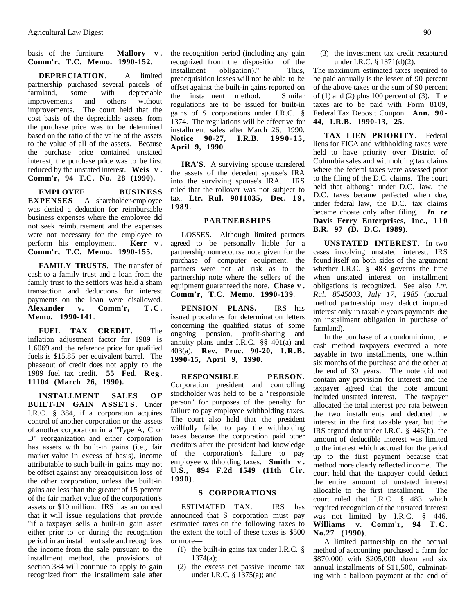basis of the furniture. **Mallory v . Comm'r, T.C. Memo. 1990-152**.

**DEPRECIATION**. A limited partnership purchased several parcels of farmland, some with depreciable improvements and others without improvements. The court held that the cost basis of the depreciable assets from the purchase price was to be determined based on the ratio of the value of the assets to the value of all of the assets. Because the purchase price contained unstated interest, the purchase price was to be first reduced by the unstated interest. **Weis v . Comm'r, 94 T.C. No. 28 (1990).**

**EMPLOYEE BUSINESS EXPENSES** A shareholder-employee was denied a deduction for reimbursable business expenses where the employee did not seek reimbursement and the expenses were not necessary for the employee to perform his employment. **Kerr v . Comm'r, T.C. Memo. 1990-155**.

**FAMILY TRUSTS**. The transfer of cash to a family trust and a loan from the family trust to the settlors was held a sham transaction and deductions for interest payments on the loan were disallowed. **Alexander v. Comm'r, T.C. Memo. 1990-141**.

**FUEL TAX CREDIT**. The inflation adjustment factor for 1989 is 1.6069 and the reference price for qualified fuels is \$15.85 per equivalent barrel. The phaseout of credit does not apply to the 1989 fuel tax credit. **55 Fed. Reg. 11104 (March 26, 1990).**

**INSTALLMENT SALES OF BUILT-IN GAIN ASSETS.** Under I.R.C. § 384, if a corporation acquires control of another corporation or the assets of another corporation in a "Type A, C or D" reorganization and either corporation has assets with built-in gains (i.e., fair market value in excess of basis), income attributable to such built-in gains may not be offset against any preacquisition loss of the other corporation, unless the built-in gains are less than the greater of 15 percent of the fair market value of the corporation's assets or \$10 million. IRS has announced that it will issue regulations that provide "if a taxpayer sells a built-in gain asset either prior to or during the recognition period in an installment sale and recognizes the income from the sale pursuant to the installment method, the provisions of section 384 will continue to apply to gain recognized from the installment sale after the recognition period (including any gain recognized from the disposition of the installment obligation)." Thus, preacquisition losses will not be able to be offset against the built-in gains reported on the installment method. Similar regulations are to be issued for built-in gains of S corporations under I.R.C. § 1374. The regulations will be effective for installment sales after March 26, 1990. **Notice 90-27, I.R.B. 1990-15, April 9, 1990**.

**IRA'S**. A surviving spouse transfered the assets of the decedent spouse's IRA into the surviving spouse's IRA. IRS ruled that the rollover was not subject to tax. Ltr. Rul. 9011035, Dec. 19, **1989**.

#### **PARTNERSHIPS**

LOSSES. Although limited partners agreed to be personally liable for a partnership nonrecourse note given for the purchase of computer equipment, the partners were not at risk as to the partnership note where the sellers of the equipment guaranteed the note. **Chase v . Comm'r, T.C. Memo. 1990-139**.

**PENSION PLANS.** IRS has issued procedures for determination letters concerning the qualified status of some ongoing pension, profit-sharing and annuity plans under I.R.C.  $\S$ § 401(a) and 403(a). **Rev. Proc. 90-20, I.R.B. 1990-15, April 9, 1990**.

**RESPONSIBLE PERSON**. Corporation president and controlling stockholder was held to be a "responsible person" for purposes of the penalty for failure to pay employee withholding taxes. The court also held that the president willfully failed to pay the withholding taxes because the corporation paid other creditors after the president had knowledge of the corporation's failure to pay employee withholding taxes. **Smith v . U.S., 894 F.2d 1549 (11th Cir. 1990)**.

#### **S CORPORATIONS**

ESTIMATED TAX. IRS has announced that S corporation must pay estimated taxes on the following taxes to the extent the total of these taxes is \$500 or more—

- (1) the built-in gains tax under I.R.C. § 1374(a);
- (2) the excess net passive income tax under I.R.C. § 1375(a); and

(3) the investment tax credit recaptured under I.R.C. § 1371(d)(2).

The maximum estimated taxes required to be paid annually is the lesser of 90 percent of the above taxes or the sum of 90 percent of  $(1)$  and  $(2)$  plus 100 percent of  $(3)$ . The taxes are to be paid with Form 8109, Federal Tax Deposit Coupon. **Ann. 90- 44, I.R.B. 1990-13, 25**.

**TAX LIEN PRIORITY**. Federal liens for FICA and withholding taxes were held to have priority over District of Columbia sales and withholding tax claims where the federal taxes were assessed prior to the filing of the D.C. claims. The court held that although under D.C. law, the D.C. taxes became perfected when due, under federal law, the D.C. tax claims became choate only after filing. *In re* Davis Ferry Enterprises, Inc., 110 **B.R. 97 (D. D.C. 1989)**.

**UNSTATED INTEREST**. In two cases involving unstated interest, IRS found itself on both sides of the argument whether I.R.C. § 483 governs the time when unstated interest on installment obligations is recognized. See also *Ltr. Rul. 8545003, July 17, 1985* (accrual method partnership may deduct imputed interest only in taxable years payments due on installment obligation in purchase of farmland).

In the purchase of a condominium, the cash method taxpayers executed a note payable in two installments, one within six months of the purchase and the other at the end of 30 years. The note did not contain any provision for interest and the taxpayer agreed that the note amount included unstated interest. The taxpayer allocated the total interest pro rata between the two installments and deducted the interest in the first taxable year, but the IRS argued that under I.R.C. § 446(b), the amount of deductible interest was limited to the interest which accrued for the period up to the first payment because that method more clearly reflected income. The court held that the taxpayer could deduct the entire amount of unstated interest allocable to the first installment. The court ruled that I.R.C. § 483 which required recognition of the unstated interest was not limited by I.R.C. § 446. **Williams v. Comm'r, 94 T.C. No.27 (1990)**.

A limited partnership on the accrual method of accounting purchased a farm for \$870,000 with \$205,000 down and six annual installments of \$11,500, culminating with a balloon payment at the end of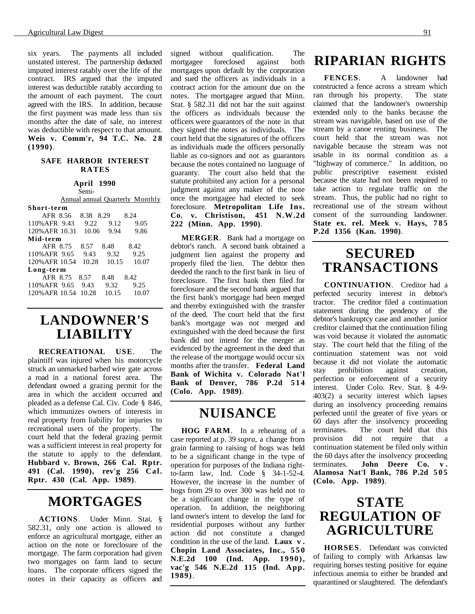six years. The payments all included unstated interest. The partnership deducted imputed interest ratably over the life of the contract. IRS argued that the imputed interest was deductible ratably according to the amount of each payment. The court agreed with the IRS. In addition, because the first payment was made less than six months after the date of sale, no interest was deductible with respect to that amount. **Weis v. Comm'r, 94 T.C. No. 2 8 (1990)**.

#### **SAFE HARBOR INTEREST RATES**

### **April 1990**

Semi-

|                |           |       | Annual annual Quarterly Monthly |  |
|----------------|-----------|-------|---------------------------------|--|
| Short-term     |           |       |                                 |  |
| AFR 8.56       | 8.38 8.29 |       | 8.24                            |  |
| 110% AFR 9.43  | 9.22      | 9.12  | 9.05                            |  |
| 120% AFR 10.31 | 10.06     | 9.94  | 9.86                            |  |
| Mid-term       |           |       |                                 |  |
| AFR 8.75       | 8.57      | 8.48  | 8.42                            |  |
| 110% AFR 9.65  | 9.43      | 9.32  | 9.25                            |  |
| 120% AFR 10.54 | 10.28     | 10.15 | 10.07                           |  |
| Long-term      |           |       |                                 |  |
| AFR 8.75       | 8.57      | 8.48  | 8.42                            |  |
| 110% AFR 9.65  | 9.43      | 9.32  | 9.25                            |  |
| 120% AFR 10.54 | 10.28     | 10.15 | 10.07                           |  |
|                |           |       |                                 |  |

# **LANDOWNER'S LIABILITY**

**RECREATIONAL USE**. The plaintiff was injured when his motorcycle struck an unmarked barbed wire gate across a road in a national forest area. The defendant owned a grazing permit for the area in which the accident occurred and pleaded as a defense Cal. Civ. Code § 846, which immunizes owners of interests in real property from liability for injuries to recreational users of the property. The court held that the federal grazing permit was a sufficient interest in real property for the statute to apply to the defendant. **Hubbard v. Brown, 266 Cal. Rptr. 491 (Cal. 1990), rev'g 256 Cal. Rptr. 430 (Cal. App. 1989)**.

# **MORTGAGES**

**ACTIONS**. Under Minn. Stat. § 582.31, only one action is allowed to enforce an agricultural mortgage, either an action on the note or foreclosure of the mortgage. The farm corporation had given two mortgages on farm land to secure loans. The corporate officers signed the notes in their capacity as officers and signed without qualification. The mortgagee foreclosed against both mortgages upon default by the corporation and sued the officers as individuals in a contract action for the amount due on the notes. The mortgagee argued that Minn. Stat. § 582.31 did not bar the suit against the officers as individuals because the officers were guarantors of the note in that they signed the notes as individuals. The court held that the signatures of the officers as individuals made the officers personally liable as co-signors and not as guarantors because the notes contained no language of guaranty. The court also held that the statute prohibited any action for a personal judgment against any maker of the note once the mortgagee had elected to seek foreclosure. **Metropolitan Life Ins. Co. v. Christison, 451 N.W.2d 222 (Minn. App. 1990)**.

**MERGER**. Bank had a mortgage on debtor's ranch. A second bank obtained a judgment lien against the property and properly filed the lien. The debtor then deeded the ranch to the first bank in lieu of foreclosure. The first bank then filed for foreclosure and the second bank argued that the first bank's mortgage had been merged and thereby extinguished with the transfer of the deed. The court held that the first bank's mortgage was not merged and extinguished with the deed because the first bank did not intend for the merger as evidenced by the agreement in the deed that the release of the mortgage would occur six months after the transfer. **Federal Land Bank of Wichita v. Colorado Nat'l Bank of Denver, 786 P.2d 5 1 4 (Colo. App. 1989)**.

## **NUISANCE**

**HOG FARM**. In a rehearing of a case reported at p. 39 *supra*, a change from grain farming to raising of hogs was held to be a significant change in the type of operation for purposes of the Indiana rightto-farm law, Ind. Code § 34-1-52-4. However, the increase in the number of hogs from 29 to over 300 was held not to be a significant change in the type of operation. In addition, the neighboring land owner's intent to develop the land for residential purposes without any further action did not constitute a changed condition in the use of the land. **Laux v . Chopin Land Associates, Inc., 550 N.E.2d 100 (Ind. App. 1990), vac'g 546 N.E.2d 115 (Ind. App. 1989)**.

# **RIPARIAN RIGHTS**

**FENCES**. A landowner had constructed a fence across a stream which ran through his property. The state claimed that the landowner's ownership extended only to the banks because the stream was navigable, based on use of the stream by a canoe renting business. The court held that the stream was not navigable because the stream was not usable in its normal condition as a "highway of commerce." In addition, no public prescriptive easement existed because the state had not been required to take action to regulate traffic on the stream. Thus, the public had no right to recreational use of the stream without consent of the surrounding landowner. **State ex. rel. Meek v. Hays, 785 P.2d 1356 (Kan. 1990)**.

# **SECURED TRANSACTIONS**

**CONTINUATION**. Creditor had a perfected security interest in debtor's tractor. The creditor filed a continuation statement during the pendency of the debtor's bankruptcy case and another junior creditor claimed that the continuation filing was void because it violated the automatic stay. The court held that the filing of the continuation statement was not void because it did not violate the automatic stay prohibition against creation, perfection or enforcement of a security interest. Under Colo. Rev. Stat. § 4-9- 403(2) a security interest which lapses during an insolvency proceeding remains perfected until the greater of five years or 60 days after the insolvency proceeding<br>terminates. The court held that this The court held that this provision did not require that a continuation statement be filed only within the 60 days after the insolvency proceeding terminates. **John Deere Co. v . Alamosa Nat'l Bank, 786 P.2d 505 (Colo. App. 1989)**.

### **STATE REGULATION OF AGRICULTURE**

**HORSES**. Defendant was convicted of failing to comply with Arkansas law requiring horses testing positive for equine infectious anemia to either be branded and quarantined or slaughtered. The defendant's